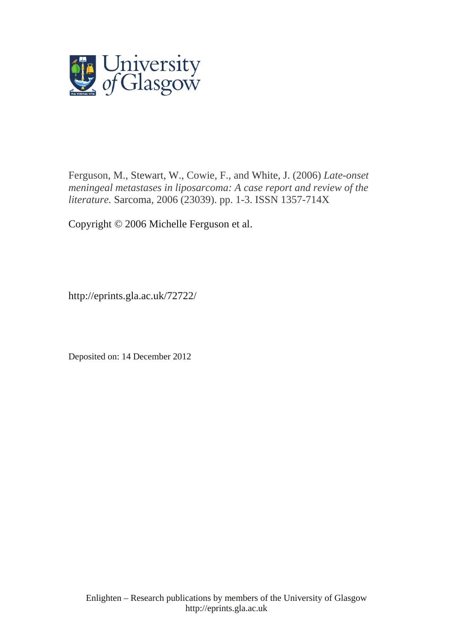

Ferguson, M., [Stewart, W.,](http://eprints.gla.ac.uk/view/author/13367.html) Cowie, F., and [White, J.](http://eprints.gla.ac.uk/view/author/29691.html) (2006) *Late-onset meningeal metastases in liposarcoma: A case report and review of the literature.* [Sarcoma,](http://eprints.gla.ac.uk/view/journal_volume/Sarcoma.html) 2006 (23039). pp. 1-3. ISSN 1357-714X

Copyright © 2006 Michelle Ferguson et al.

http://eprints.gla.ac.uk/72722/

Deposited on: 14 December 2012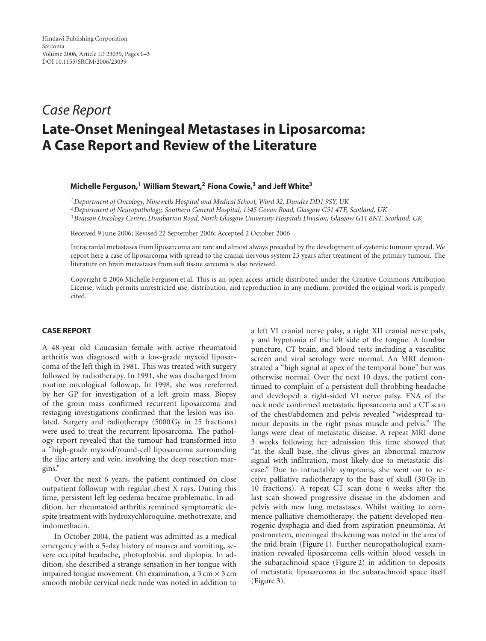# *Case Report* **Late-Onset Meningeal Metastases in Liposarcoma: A Case Report and Review of the Literature**

### **Michelle Ferguson,1 William Stewart,2 Fiona Cowie,3 and Jeff White3**

*1Department of Oncology, Ninewells Hospital and Medical School, Ward 32, Dundee DD1 9SY, UK*

*2Department of Neuropathology, Southern General Hospital, 1345 Govan Road, Glasgow G51 4TF, Scotland, UK 3Beatson Oncology Centre, Dumbarton Road, North Glasgow University Hospitals Division, Glasgow G11 6NT, Scotland, UK*

Received 9 June 2006; Revised 22 September 2006; Accepted 2 October 2006

Intracranial metastases from liposarcoma are rare and almost always preceded by the development of systemic tumour spread. We report here a case of liposarcoma with spread to the cranial nervous system 23 years after treatment of the primary tumour. The literature on brain metastases from soft tissue sarcoma is also reviewed.

Copyright © 2006 Michelle Ferguson et al. This is an open access article distributed under the Creative Commons Attribution License, which permits unrestricted use, distribution, and reproduction in any medium, provided the original work is properly cited.

### **CASE REPORT**

A 48-year old Caucasian female with active rheumatoid arthritis was diagnosed with a low-grade myxoid liposarcoma of the left thigh in 1981. This was treated with surgery followed by radiotherapy. In 1991, she was discharged from routine oncological followup. In 1998, she was rereferred by her GP for investigation of a left groin mass. Biopsy of the groin mass confirmed recurrent liposarcoma and restaging investigations confirmed that the lesion was isolated. Surgery and radiotherapy (5000 Gy in 25 fractions) were used to treat the recurrent liposarcoma. The pathology report revealed that the tumour had transformed into a "high-grade myxoid/round-cell liposarcoma surrounding the iliac artery and vein, involving the deep resection margins."

Over the next 6 years, the patient continued on close outpatient followup with regular chest X rays. During this time, persistent left leg oedema became problematic. In addition, her rheumatoid arthritis remained symptomatic despite treatment with hydroxychloroquine, methotrexate, and indomethacin.

In October 2004, the patient was admitted as a medical emergency with a 5-day history of nausea and vomiting, severe occipital headache, photophobia, and diplopia. In addition, she described a strange sensation in her tongue with impaired tongue movement. On examination, a 3 cm *×* 3 cm smooth mobile cervical neck node was noted in addition to a left VI cranial nerve palsy, a right XII cranial nerve pals, y and hypotonia of the left side of the tongue. A lumbar puncture, CT brain, and blood tests including a vasculitic screen and viral serology were normal. An MRI demonstrated a "high signal at apex of the temporal bone" but was otherwise normal. Over the next 10 days, the patient continued to complain of a persistent dull throbbing headache and developed a right-sided VI nerve palsy. FNA of the neck node confirmed metastatic liposarcoma and a CT scan of the chest/abdomen and pelvis revealed "widespread tumour deposits in the right psoas muscle and pelvis." The lungs were clear of metastatic disease. A repeat MRI done 3 weeks following her admission this time showed that "at the skull base, the clivus gives an abnormal marrow signal with infiltration, most likely due to metastatic disease." Due to intractable symptoms, she went on to receive palliative radiotherapy to the base of skull (30 Gy in 10 fractions). A repeat CT scan done 6 weeks after the last scan showed progressive disease in the abdomen and pelvis with new lung metastases. Whilst waiting to commence palliative chemotherapy, the patient developed neurogenic dysphagia and died from aspiration pneumonia. At postmortem, meningeal thickening was noted in the area of the mid brain [\(Figure 1\)](#page-2-0). Further neuropathological examination revealed liposarcoma cells within blood vessels in the subarachnoid space [\(Figure 2\)](#page-2-1) in addition to deposits of metastatic liposarcoma in the subarachnoid space itself [\(Figure 3\)](#page-2-2).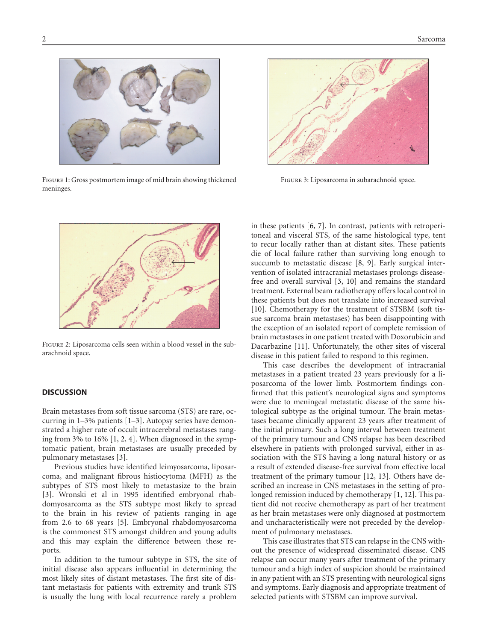

<span id="page-2-0"></span>Figure 1: Gross postmortem image of mid brain showing thickened meninges.



<span id="page-2-2"></span>Figure 3: Liposarcoma in subarachnoid space.



<span id="page-2-1"></span>Figure 2: Liposarcoma cells seen within a blood vessel in the subarachnoid space.

#### **DISCUSSION**

Brain metastases from soft tissue sarcoma (STS) are rare, occurring in 1–3% patients [\[1](#page-3-1)[–3](#page-3-2)]. Autopsy series have demonstrated a higher rate of occult intracerebral metastases ranging from 3% to 16% [\[1](#page-3-1), [2,](#page-3-3) [4\]](#page-3-4). When diagnosed in the symptomatic patient, brain metastases are usually preceded by pulmonary metastases [\[3\]](#page-3-2).

Previous studies have identified leimyosarcoma, liposarcoma, and malignant fibrous histiocytoma (MFH) as the subtypes of STS most likely to metastasize to the brain [\[3\]](#page-3-2). Wronski et al in 1995 identified embryonal rhabdomyosarcoma as the STS subtype most likely to spread to the brain in his review of patients ranging in age from 2*.*6 to 68 years [\[5](#page-3-5)]. Embryonal rhabdomyosarcoma is the commonest STS amongst children and young adults and this may explain the difference between these reports.

In addition to the tumour subtype in STS, the site of initial disease also appears influential in determining the most likely sites of distant metastases. The first site of distant metastasis for patients with extremity and trunk STS is usually the lung with local recurrence rarely a problem

in these patients [\[6](#page-3-6), [7](#page-3-7)]. In contrast, patients with retroperitoneal and visceral STS, of the same histological type, tent to recur locally rather than at distant sites. These patients die of local failure rather than surviving long enough to succumb to metastatic disease [\[8](#page-3-8), [9](#page-3-9)]. Early surgical intervention of isolated intracranial metastases prolongs diseasefree and overall survival [\[3,](#page-3-2) [10](#page-3-10)] and remains the standard treatment. External beam radiotherapy offers local control in these patients but does not translate into increased survival [\[10](#page-3-10)]. Chemotherapy for the treatment of STSBM (soft tissue sarcoma brain metastases) has been disappointing with the exception of an isolated report of complete remission of brain metastases in one patient treated with Doxorubicin and Dacarbazine [\[11\]](#page-3-11). Unfortunately, the other sites of visceral disease in this patient failed to respond to this regimen.

This case describes the development of intracranial metastases in a patient treated 23 years previously for a liposarcoma of the lower limb. Postmortem findings confirmed that this patient's neurological signs and symptoms were due to meningeal metastatic disease of the same histological subtype as the original tumour. The brain metastases became clinically apparent 23 years after treatment of the initial primary. Such a long interval between treatment of the primary tumour and CNS relapse has been described elsewhere in patients with prolonged survival, either in association with the STS having a long natural history or as a result of extended disease-free survival from effective local treatment of the primary tumour [\[12,](#page-3-12) [13\]](#page-3-13). Others have described an increase in CNS metastases in the setting of prolonged remission induced by chemotherapy [\[1,](#page-3-1) [12\]](#page-3-12). This patient did not receive chemotherapy as part of her treatment as her brain metastases were only diagnosed at postmortem and uncharacteristically were not preceded by the development of pulmonary metastases.

This case illustrates that STS can relapse in the CNS without the presence of widespread disseminated disease. CNS relapse can occur many years after treatment of the primary tumour and a high index of suspicion should be maintained in any patient with an STS presenting with neurological signs and symptoms. Early diagnosis and appropriate treatment of selected patients with STSBM can improve survival.